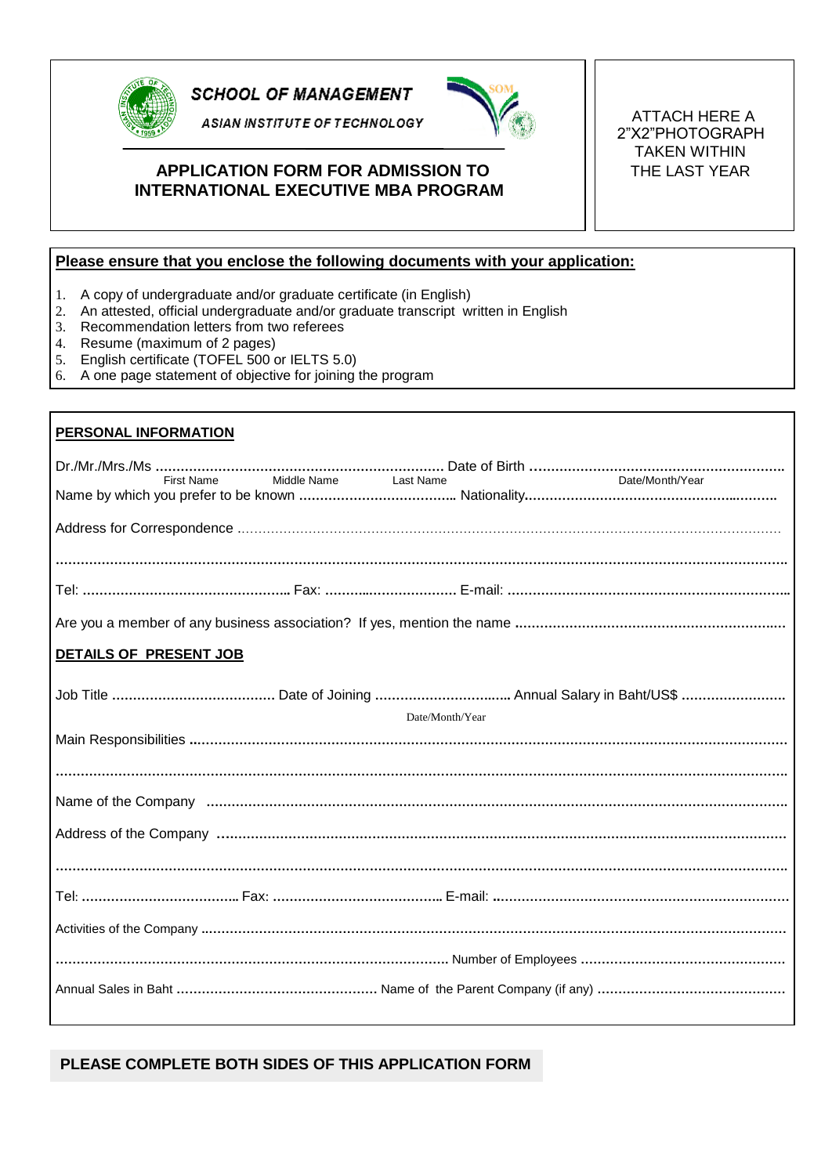

**SCHOOL OF MANAGEMENT** 

ASIAN INSTITUTE OF TECHNOLOGY **A** 



## **APPLICATION FORM FOR ADMISSION TO**  $\begin{bmatrix} 1 \\ 1 \end{bmatrix}$  THE LAST YEAR **INTERNATIONAL EXECUTIVE MBA PROGRAM**

2"X2"PHOTOGRAPH TAKEN WITHIN

## **Please ensure that you enclose the following documents with your application:**

- 1. A copy of undergraduate and/or graduate certificate (in English)
- 2. An attested, official undergraduate and/or graduate transcript written in English
- 3. Recommendation letters from two referees
- 4. Resume (maximum of 2 pages)
- 5. English certificate (TOFEL 500 or IELTS 5.0)
- 6. A one page statement of objective for joining the program

| <b>PERSONAL INFORMATION</b>                         |
|-----------------------------------------------------|
| Date/Month/Year<br>First Name Middle Name Last Name |
|                                                     |
|                                                     |
|                                                     |
|                                                     |
| DETAILS OF PRESENT JOB                              |
| Date/Month/Year                                     |
|                                                     |
|                                                     |
|                                                     |
|                                                     |
|                                                     |
|                                                     |
|                                                     |
|                                                     |
|                                                     |
|                                                     |
|                                                     |

## **PLEASE COMPLETE BOTH SIDES OF THIS APPLICATION FORM**